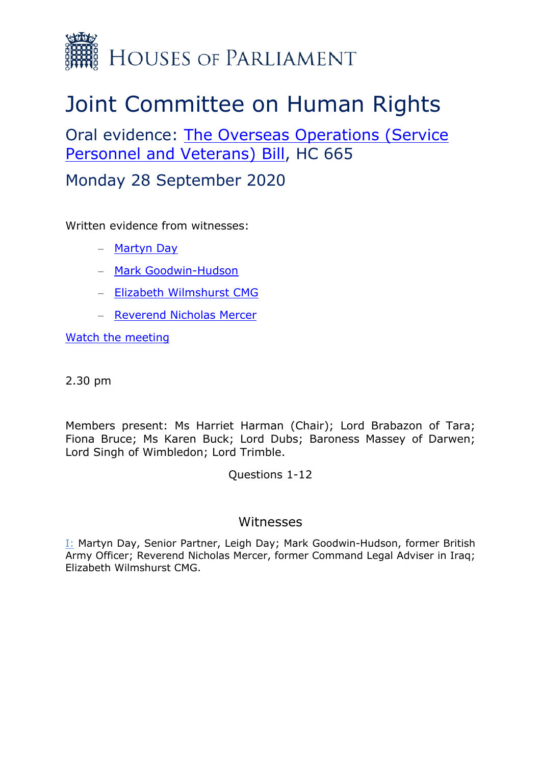

# Joint Committee on Human Rights

Oral evidence: [The](https://committees.parliament.uk/work/488/legislative-scrutiny-the-overseas-operations-service-personnel-and-veterans-bill/publications/3/correspondence/) [Overseas](https://committees.parliament.uk/work/488/legislative-scrutiny-the-overseas-operations-service-personnel-and-veterans-bill/publications/3/correspondence/) [Operations](https://committees.parliament.uk/work/488/legislative-scrutiny-the-overseas-operations-service-personnel-and-veterans-bill/publications/3/correspondence/) [\(Service](https://committees.parliament.uk/work/488/legislative-scrutiny-the-overseas-operations-service-personnel-and-veterans-bill/publications/3/correspondence/) [Personnel](https://committees.parliament.uk/work/488/legislative-scrutiny-the-overseas-operations-service-personnel-and-veterans-bill/publications/3/correspondence/) [and](https://committees.parliament.uk/work/488/legislative-scrutiny-the-overseas-operations-service-personnel-and-veterans-bill/publications/3/correspondence/) [Veterans\)](https://committees.parliament.uk/work/488/legislative-scrutiny-the-overseas-operations-service-personnel-and-veterans-bill/publications/3/correspondence/) [Bill,](https://committees.parliament.uk/work/488/legislative-scrutiny-the-overseas-operations-service-personnel-and-veterans-bill/publications/3/correspondence/) HC 665

Monday 28 September 2020

Written evidence from witnesses:

- [Martyn](https://committees.parliament.uk/writtenevidence/12159/pdf/) [Day](https://committees.parliament.uk/writtenevidence/12159/pdf/)
- [Mark](https://committees.parliament.uk/writtenevidence/11592/pdf/) [Goodwin-Hudson](https://committees.parliament.uk/writtenevidence/11592/pdf/)
- [Elizabeth](https://committees.parliament.uk/writtenevidence/11152/pdf/) [Wilmshurst](https://committees.parliament.uk/writtenevidence/11152/pdf/) [CMG](https://committees.parliament.uk/writtenevidence/11152/pdf/)
- [Reverend](https://committees.parliament.uk/writtenevidence/11346/pdf/) [Nicholas](https://committees.parliament.uk/writtenevidence/11346/pdf/) [Mercer](https://committees.parliament.uk/writtenevidence/11346/pdf/)

[Watch](https://parliamentlive.tv/Event/Index/24c82b23-a898-4644-8501-f48a75d86e3d) [the](https://parliamentlive.tv/Event/Index/24c82b23-a898-4644-8501-f48a75d86e3d) [meeting](https://parliamentlive.tv/Event/Index/24c82b23-a898-4644-8501-f48a75d86e3d)

2.30 pm

Members present: Ms Harriet Harman (Chair); Lord Brabazon of Tara; Fiona Bruce; Ms Karen Buck; Lord Dubs; Baroness Massey of Darwen; Lord Singh of Wimbledon; Lord Trimble.

Questions 1-12

## Witnesses

I: Martyn Day, Senior Partner, Leigh Day; Mark Goodwin-Hudson, former British Army Officer; Reverend Nicholas Mercer, former Command Legal Adviser in Iraq; Elizabeth Wilmshurst CMG.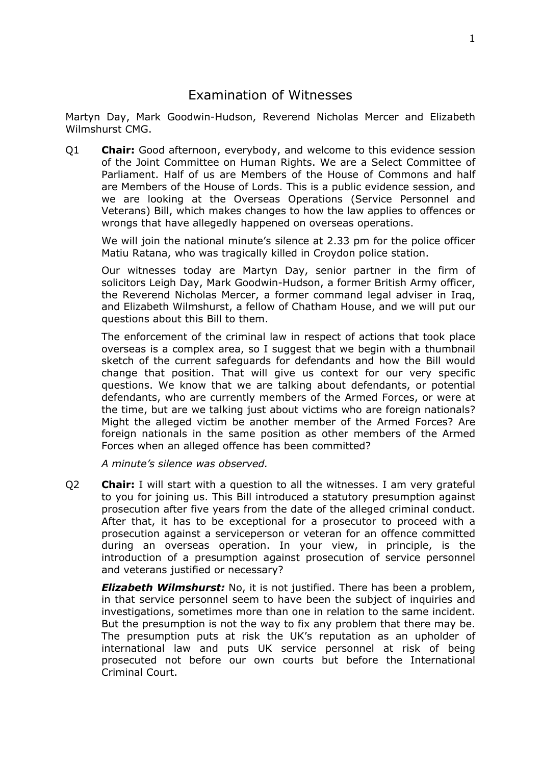## Examination of Witnesses

Martyn Day, Mark Goodwin-Hudson, Reverend Nicholas Mercer and Elizabeth Wilmshurst CMG.

Q1 **Chair:** Good afternoon, everybody, and welcome to this evidence session of the Joint Committee on Human Rights. We are a Select Committee of Parliament. Half of us are Members of the House of Commons and half are Members of the House of Lords. This is a public evidence session, and we are looking at the Overseas Operations (Service Personnel and Veterans) Bill, which makes changes to how the law applies to offences or wrongs that have allegedly happened on overseas operations.

We will join the national minute's silence at 2.33 pm for the police officer Matiu Ratana, who was tragically killed in Croydon police station.

Our witnesses today are Martyn Day, senior partner in the firm of solicitors Leigh Day, Mark Goodwin-Hudson, a former British Army officer, the Reverend Nicholas Mercer, a former command legal adviser in Iraq, and Elizabeth Wilmshurst, a fellow of Chatham House, and we will put our questions about this Bill to them.

The enforcement of the criminal law in respect of actions that took place overseas is a complex area, so I suggest that we begin with a thumbnail sketch of the current safeguards for defendants and how the Bill would change that position. That will give us context for our very specific questions. We know that we are talking about defendants, or potential defendants, who are currently members of the Armed Forces, or were at the time, but are we talking just about victims who are foreign nationals? Might the alleged victim be another member of the Armed Forces? Are foreign nationals in the same position as other members of the Armed Forces when an alleged offence has been committed?

*A minute's silence was observed.*

Q2 **Chair:** I will start with a question to all the witnesses. I am very grateful to you for joining us. This Bill introduced a statutory presumption against prosecution after five years from the date of the alleged criminal conduct. After that, it has to be exceptional for a prosecutor to proceed with a prosecution against a serviceperson or veteran for an offence committed during an overseas operation. In your view, in principle, is the introduction of a presumption against prosecution of service personnel and veterans justified or necessary?

*Elizabeth Wilmshurst:* No, it is not justified. There has been a problem, in that service personnel seem to have been the subject of inquiries and investigations, sometimes more than one in relation to the same incident. But the presumption is not the way to fix any problem that there may be. The presumption puts at risk the UK's reputation as an upholder of international law and puts UK service personnel at risk of being prosecuted not before our own courts but before the International Criminal Court.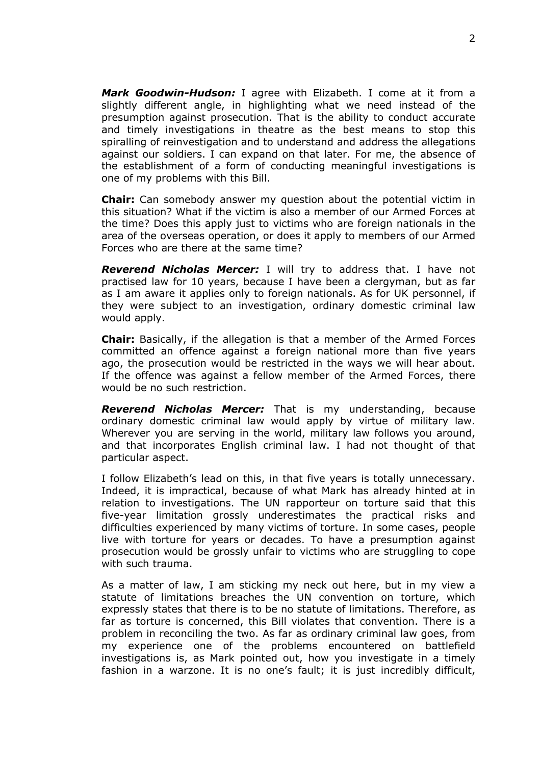*Mark Goodwin-Hudson:* I agree with Elizabeth. I come at it from a slightly different angle, in highlighting what we need instead of the presumption against prosecution. That is the ability to conduct accurate and timely investigations in theatre as the best means to stop this spiralling of reinvestigation and to understand and address the allegations against our soldiers. I can expand on that later. For me, the absence of the establishment of a form of conducting meaningful investigations is one of my problems with this Bill.

**Chair:** Can somebody answer my question about the potential victim in this situation? What if the victim is also a member of our Armed Forces at the time? Does this apply just to victims who are foreign nationals in the area of the overseas operation, or does it apply to members of our Armed Forces who are there at the same time?

*Reverend Nicholas Mercer:* I will try to address that. I have not practised law for 10 years, because I have been a clergyman, but as far as I am aware it applies only to foreign nationals. As for UK personnel, if they were subject to an investigation, ordinary domestic criminal law would apply.

**Chair:** Basically, if the allegation is that a member of the Armed Forces committed an offence against a foreign national more than five years ago, the prosecution would be restricted in the ways we will hear about. If the offence was against a fellow member of the Armed Forces, there would be no such restriction.

*Reverend Nicholas Mercer:* That is my understanding, because ordinary domestic criminal law would apply by virtue of military law. Wherever you are serving in the world, military law follows you around, and that incorporates English criminal law. I had not thought of that particular aspect.

I follow Elizabeth's lead on this, in that five years is totally unnecessary. Indeed, it is impractical, because of what Mark has already hinted at in relation to investigations. The UN rapporteur on torture said that this five-year limitation grossly underestimates the practical risks and difficulties experienced by many victims of torture. In some cases, people live with torture for years or decades. To have a presumption against prosecution would be grossly unfair to victims who are struggling to cope with such trauma.

As a matter of law, I am sticking my neck out here, but in my view a statute of limitations breaches the UN convention on torture, which expressly states that there is to be no statute of limitations. Therefore, as far as torture is concerned, this Bill violates that convention. There is a problem in reconciling the two. As far as ordinary criminal law goes, from my experience one of the problems encountered on battlefield investigations is, as Mark pointed out, how you investigate in a timely fashion in a warzone. It is no one's fault; it is just incredibly difficult,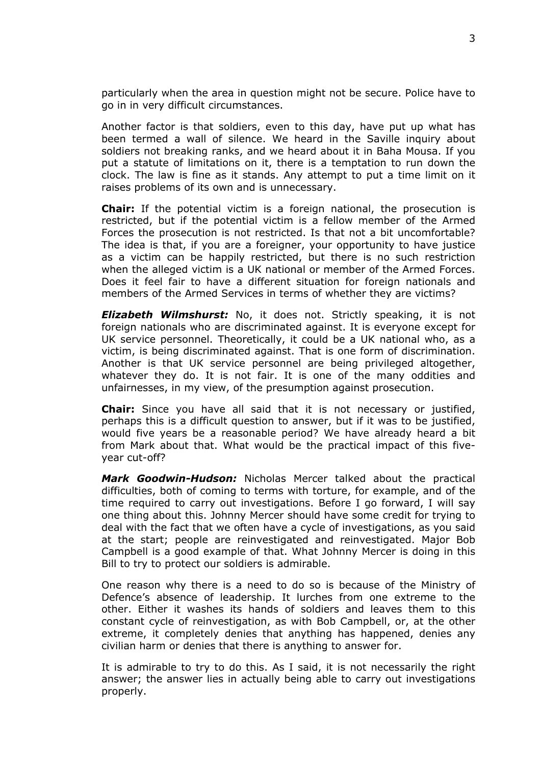particularly when the area in question might not be secure. Police have to go in in very difficult circumstances.

Another factor is that soldiers, even to this day, have put up what has been termed a wall of silence. We heard in the Saville inquiry about soldiers not breaking ranks, and we heard about it in Baha Mousa. If you put a statute of limitations on it, there is a temptation to run down the clock. The law is fine as it stands. Any attempt to put a time limit on it raises problems of its own and is unnecessary.

**Chair:** If the potential victim is a foreign national, the prosecution is restricted, but if the potential victim is a fellow member of the Armed Forces the prosecution is not restricted. Is that not a bit uncomfortable? The idea is that, if you are a foreigner, your opportunity to have justice as a victim can be happily restricted, but there is no such restriction when the alleged victim is a UK national or member of the Armed Forces. Does it feel fair to have a different situation for foreign nationals and members of the Armed Services in terms of whether they are victims?

*Elizabeth Wilmshurst:* No, it does not. Strictly speaking, it is not foreign nationals who are discriminated against. It is everyone except for UK service personnel. Theoretically, it could be a UK national who, as a victim, is being discriminated against. That is one form of discrimination. Another is that UK service personnel are being privileged altogether, whatever they do. It is not fair. It is one of the many oddities and unfairnesses, in my view, of the presumption against prosecution.

**Chair:** Since you have all said that it is not necessary or justified, perhaps this is a difficult question to answer, but if it was to be justified, would five years be a reasonable period? We have already heard a bit from Mark about that. What would be the practical impact of this fiveyear cut-off?

*Mark Goodwin-Hudson:* Nicholas Mercer talked about the practical difficulties, both of coming to terms with torture, for example, and of the time required to carry out investigations. Before I go forward, I will say one thing about this. Johnny Mercer should have some credit for trying to deal with the fact that we often have a cycle of investigations, as you said at the start; people are reinvestigated and reinvestigated. Major Bob Campbell is a good example of that. What Johnny Mercer is doing in this Bill to try to protect our soldiers is admirable.

One reason why there is a need to do so is because of the Ministry of Defence's absence of leadership. It lurches from one extreme to the other. Either it washes its hands of soldiers and leaves them to this constant cycle of reinvestigation, as with Bob Campbell, or, at the other extreme, it completely denies that anything has happened, denies any civilian harm or denies that there is anything to answer for.

It is admirable to try to do this. As I said, it is not necessarily the right answer; the answer lies in actually being able to carry out investigations properly.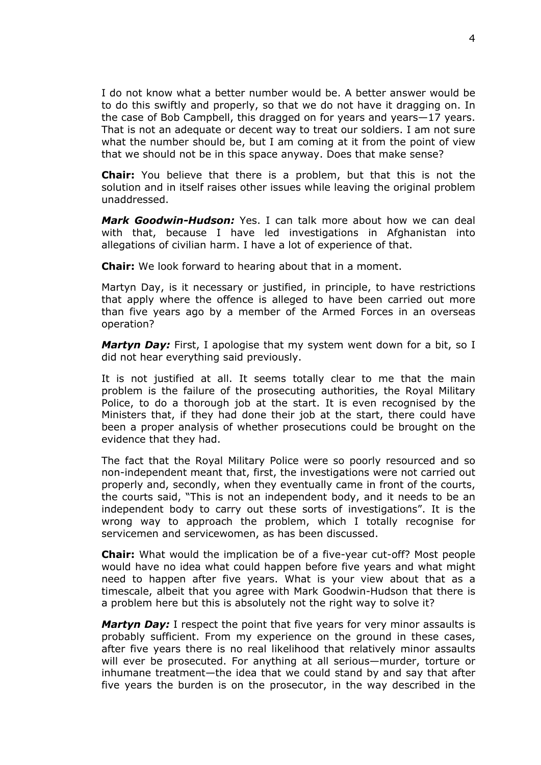I do not know what a better number would be. A better answer would be to do this swiftly and properly, so that we do not have it dragging on. In the case of Bob Campbell, this dragged on for years and years—17 years. That is not an adequate or decent way to treat our soldiers. I am not sure what the number should be, but I am coming at it from the point of view that we should not be in this space anyway. Does that make sense?

**Chair:** You believe that there is a problem, but that this is not the solution and in itself raises other issues while leaving the original problem unaddressed.

*Mark Goodwin-Hudson:* Yes. I can talk more about how we can deal with that, because I have led investigations in Afghanistan into allegations of civilian harm. I have a lot of experience of that.

**Chair:** We look forward to hearing about that in a moment.

Martyn Day, is it necessary or justified, in principle, to have restrictions that apply where the offence is alleged to have been carried out more than five years ago by a member of the Armed Forces in an overseas operation?

*Martyn Day:* First, I apologise that my system went down for a bit, so I did not hear everything said previously.

It is not justified at all. It seems totally clear to me that the main problem is the failure of the prosecuting authorities, the Royal Military Police, to do a thorough job at the start. It is even recognised by the Ministers that, if they had done their job at the start, there could have been a proper analysis of whether prosecutions could be brought on the evidence that they had.

The fact that the Royal Military Police were so poorly resourced and so non-independent meant that, first, the investigations were not carried out properly and, secondly, when they eventually came in front of the courts, the courts said, "This is not an independent body, and it needs to be an independent body to carry out these sorts of investigations". It is the wrong way to approach the problem, which I totally recognise for servicemen and servicewomen, as has been discussed.

**Chair:** What would the implication be of a five-year cut-off? Most people would have no idea what could happen before five years and what might need to happen after five years. What is your view about that as a timescale, albeit that you agree with Mark Goodwin-Hudson that there is a problem here but this is absolutely not the right way to solve it?

*Martyn Day:* I respect the point that five years for very minor assaults is probably sufficient. From my experience on the ground in these cases, after five years there is no real likelihood that relatively minor assaults will ever be prosecuted. For anything at all serious—murder, torture or inhumane treatment—the idea that we could stand by and say that after five years the burden is on the prosecutor, in the way described in the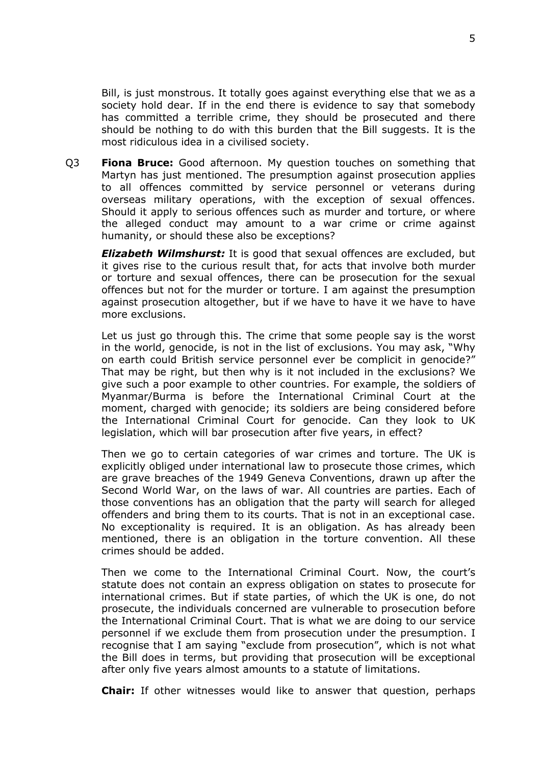Bill, is just monstrous. It totally goes against everything else that we as a society hold dear. If in the end there is evidence to say that somebody has committed a terrible crime, they should be prosecuted and there should be nothing to do with this burden that the Bill suggests. It is the most ridiculous idea in a civilised society.

Q3 **Fiona Bruce:** Good afternoon. My question touches on something that Martyn has just mentioned. The presumption against prosecution applies to all offences committed by service personnel or veterans during overseas military operations, with the exception of sexual offences. Should it apply to serious offences such as murder and torture, or where the alleged conduct may amount to a war crime or crime against humanity, or should these also be exceptions?

*Elizabeth Wilmshurst:* It is good that sexual offences are excluded, but it gives rise to the curious result that, for acts that involve both murder or torture and sexual offences, there can be prosecution for the sexual offences but not for the murder or torture. I am against the presumption against prosecution altogether, but if we have to have it we have to have more exclusions.

Let us just go through this. The crime that some people say is the worst in the world, genocide, is not in the list of exclusions. You may ask, "Why on earth could British service personnel ever be complicit in genocide?" That may be right, but then why is it not included in the exclusions? We give such a poor example to other countries. For example, the soldiers of Myanmar/Burma is before the International Criminal Court at the moment, charged with genocide; its soldiers are being considered before the International Criminal Court for genocide. Can they look to UK legislation, which will bar prosecution after five years, in effect?

Then we go to certain categories of war crimes and torture. The UK is explicitly obliged under international law to prosecute those crimes, which are grave breaches of the 1949 Geneva Conventions, drawn up after the Second World War, on the laws of war. All countries are parties. Each of those conventions has an obligation that the party will search for alleged offenders and bring them to its courts. That is not in an exceptional case. No exceptionality is required. It is an obligation. As has already been mentioned, there is an obligation in the torture convention. All these crimes should be added.

Then we come to the International Criminal Court. Now, the court's statute does not contain an express obligation on states to prosecute for international crimes. But if state parties, of which the UK is one, do not prosecute, the individuals concerned are vulnerable to prosecution before the International Criminal Court. That is what we are doing to our service personnel if we exclude them from prosecution under the presumption. I recognise that I am saying "exclude from prosecution", which is not what the Bill does in terms, but providing that prosecution will be exceptional after only five years almost amounts to a statute of limitations.

**Chair:** If other witnesses would like to answer that question, perhaps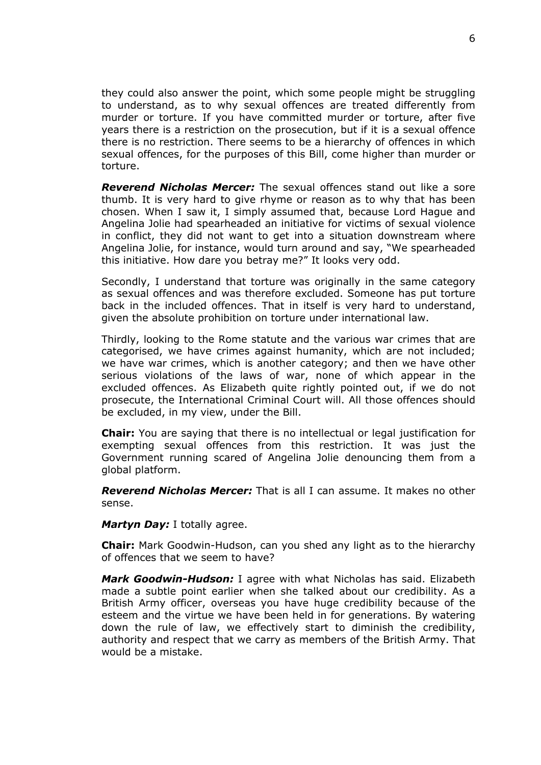they could also answer the point, which some people might be struggling to understand, as to why sexual offences are treated differently from murder or torture. If you have committed murder or torture, after five years there is a restriction on the prosecution, but if it is a sexual offence there is no restriction. There seems to be a hierarchy of offences in which sexual offences, for the purposes of this Bill, come higher than murder or torture.

*Reverend Nicholas Mercer:* The sexual offences stand out like a sore thumb. It is very hard to give rhyme or reason as to why that has been chosen. When I saw it, I simply assumed that, because Lord Hague and Angelina Jolie had spearheaded an initiative for victims of sexual violence in conflict, they did not want to get into a situation downstream where Angelina Jolie, for instance, would turn around and say, "We spearheaded this initiative. How dare you betray me?" It looks very odd.

Secondly, I understand that torture was originally in the same category as sexual offences and was therefore excluded. Someone has put torture back in the included offences. That in itself is very hard to understand, given the absolute prohibition on torture under international law.

Thirdly, looking to the Rome statute and the various war crimes that are categorised, we have crimes against humanity, which are not included; we have war crimes, which is another category; and then we have other serious violations of the laws of war, none of which appear in the excluded offences. As Elizabeth quite rightly pointed out, if we do not prosecute, the International Criminal Court will. All those offences should be excluded, in my view, under the Bill.

**Chair:** You are saying that there is no intellectual or legal justification for exempting sexual offences from this restriction. It was just the Government running scared of Angelina Jolie denouncing them from a global platform.

*Reverend Nicholas Mercer:* That is all I can assume. It makes no other sense.

*Martyn Day:* I totally agree.

**Chair:** Mark Goodwin-Hudson, can you shed any light as to the hierarchy of offences that we seem to have?

*Mark Goodwin-Hudson:* I agree with what Nicholas has said. Elizabeth made a subtle point earlier when she talked about our credibility. As a British Army officer, overseas you have huge credibility because of the esteem and the virtue we have been held in for generations. By watering down the rule of law, we effectively start to diminish the credibility, authority and respect that we carry as members of the British Army. That would be a mistake.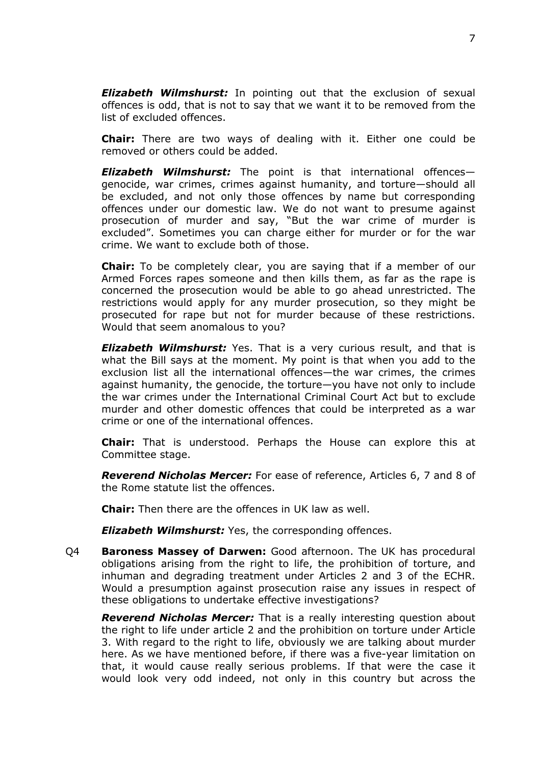*Elizabeth Wilmshurst:* In pointing out that the exclusion of sexual offences is odd, that is not to say that we want it to be removed from the list of excluded offences.

**Chair:** There are two ways of dealing with it. Either one could be removed or others could be added.

*Elizabeth Wilmshurst:* The point is that international offences genocide, war crimes, crimes against humanity, and torture—should all be excluded, and not only those offences by name but corresponding offences under our domestic law. We do not want to presume against prosecution of murder and say, "But the war crime of murder is excluded". Sometimes you can charge either for murder or for the war crime. We want to exclude both of those.

**Chair:** To be completely clear, you are saying that if a member of our Armed Forces rapes someone and then kills them, as far as the rape is concerned the prosecution would be able to go ahead unrestricted. The restrictions would apply for any murder prosecution, so they might be prosecuted for rape but not for murder because of these restrictions. Would that seem anomalous to you?

*Elizabeth Wilmshurst:* Yes. That is a very curious result, and that is what the Bill says at the moment. My point is that when you add to the exclusion list all the international offences—the war crimes, the crimes against humanity, the genocide, the torture—you have not only to include the war crimes under the International Criminal Court Act but to exclude murder and other domestic offences that could be interpreted as a war crime or one of the international offences.

**Chair:** That is understood. Perhaps the House can explore this at Committee stage.

*Reverend Nicholas Mercer:* For ease of reference, Articles 6, 7 and 8 of the Rome statute list the offences.

**Chair:** Then there are the offences in UK law as well.

*Elizabeth Wilmshurst:* Yes, the corresponding offences.

Q4 **Baroness Massey of Darwen:** Good afternoon. The UK has procedural obligations arising from the right to life, the prohibition of torture, and inhuman and degrading treatment under Articles 2 and 3 of the ECHR. Would a presumption against prosecution raise any issues in respect of these obligations to undertake effective investigations?

*Reverend Nicholas Mercer:* That is a really interesting question about the right to life under article 2 and the prohibition on torture under Article 3. With regard to the right to life, obviously we are talking about murder here. As we have mentioned before, if there was a five-year limitation on that, it would cause really serious problems. If that were the case it would look very odd indeed, not only in this country but across the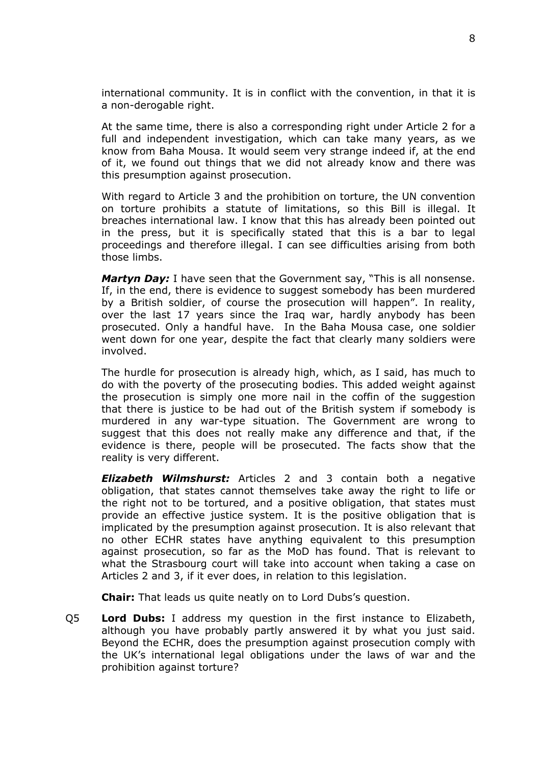international community. It is in conflict with the convention, in that it is a non-derogable right.

At the same time, there is also a corresponding right under Article 2 for a full and independent investigation, which can take many years, as we know from Baha Mousa. It would seem very strange indeed if, at the end of it, we found out things that we did not already know and there was this presumption against prosecution.

With regard to Article 3 and the prohibition on torture, the UN convention on torture prohibits a statute of limitations, so this Bill is illegal. It breaches international law. I know that this has already been pointed out in the press, but it is specifically stated that this is a bar to legal proceedings and therefore illegal. I can see difficulties arising from both those limbs.

*Martyn Day:* I have seen that the Government say, "This is all nonsense. If, in the end, there is evidence to suggest somebody has been murdered by a British soldier, of course the prosecution will happen". In reality, over the last 17 years since the Iraq war, hardly anybody has been prosecuted. Only a handful have. In the Baha Mousa case, one soldier went down for one year, despite the fact that clearly many soldiers were involved.

The hurdle for prosecution is already high, which, as I said, has much to do with the poverty of the prosecuting bodies. This added weight against the prosecution is simply one more nail in the coffin of the suggestion that there is justice to be had out of the British system if somebody is murdered in any war-type situation. The Government are wrong to suggest that this does not really make any difference and that, if the evidence is there, people will be prosecuted. The facts show that the reality is very different.

*Elizabeth Wilmshurst:* Articles 2 and 3 contain both a negative obligation, that states cannot themselves take away the right to life or the right not to be tortured, and a positive obligation, that states must provide an effective justice system. It is the positive obligation that is implicated by the presumption against prosecution. It is also relevant that no other ECHR states have anything equivalent to this presumption against prosecution, so far as the MoD has found. That is relevant to what the Strasbourg court will take into account when taking a case on Articles 2 and 3, if it ever does, in relation to this legislation.

**Chair:** That leads us quite neatly on to Lord Dubs's question.

Q5 **Lord Dubs:** I address my question in the first instance to Elizabeth, although you have probably partly answered it by what you just said. Beyond the ECHR, does the presumption against prosecution comply with the UK's international legal obligations under the laws of war and the prohibition against torture?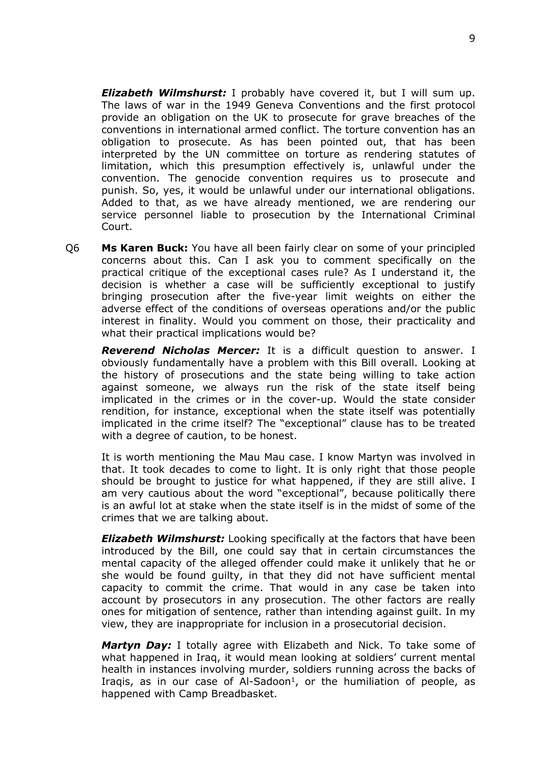*Elizabeth Wilmshurst:* I probably have covered it, but I will sum up. The laws of war in the 1949 Geneva Conventions and the first protocol provide an obligation on the UK to prosecute for grave breaches of the conventions in international armed conflict. The torture convention has an obligation to prosecute. As has been pointed out, that has been interpreted by the UN committee on torture as rendering statutes of limitation, which this presumption effectively is, unlawful under the convention. The genocide convention requires us to prosecute and punish. So, yes, it would be unlawful under our international obligations. Added to that, as we have already mentioned, we are rendering our service personnel liable to prosecution by the International Criminal Court.

Q6 **Ms Karen Buck:** You have all been fairly clear on some of your principled concerns about this. Can I ask you to comment specifically on the practical critique of the exceptional cases rule? As I understand it, the decision is whether a case will be sufficiently exceptional to justify bringing prosecution after the five-year limit weights on either the adverse effect of the conditions of overseas operations and/or the public interest in finality. Would you comment on those, their practicality and what their practical implications would be?

*Reverend Nicholas Mercer:* It is a difficult question to answer. I obviously fundamentally have a problem with this Bill overall. Looking at the history of prosecutions and the state being willing to take action against someone, we always run the risk of the state itself being implicated in the crimes or in the cover-up. Would the state consider rendition, for instance, exceptional when the state itself was potentially implicated in the crime itself? The "exceptional" clause has to be treated with a degree of caution, to be honest.

It is worth mentioning the Mau Mau case. I know Martyn was involved in that. It took decades to come to light. It is only right that those people should be brought to justice for what happened, if they are still alive. I am very cautious about the word "exceptional", because politically there is an awful lot at stake when the state itself is in the midst of some of the crimes that we are talking about.

*Elizabeth Wilmshurst:* Looking specifically at the factors that have been introduced by the Bill, one could say that in certain circumstances the mental capacity of the alleged offender could make it unlikely that he or she would be found guilty, in that they did not have sufficient mental capacity to commit the crime. That would in any case be taken into account by prosecutors in any prosecution. The other factors are really ones for mitigation of sentence, rather than intending against guilt. In my view, they are inappropriate for inclusion in a prosecutorial decision.

*Martyn Day:* I totally agree with Elizabeth and Nick. To take some of what happened in Iraq, it would mean looking at soldiers' current mental health in instances involving murder, soldiers running across the backs of Iraqis, as in our case of Al-Sadoon<sup>1</sup>, or the humiliation of people, as happened with Camp Breadbasket.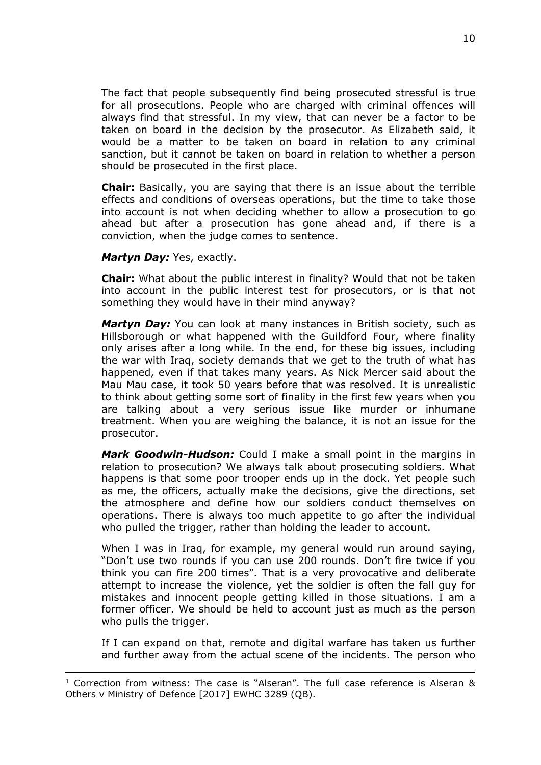The fact that people subsequently find being prosecuted stressful is true for all prosecutions. People who are charged with criminal offences will always find that stressful. In my view, that can never be a factor to be taken on board in the decision by the prosecutor. As Elizabeth said, it would be a matter to be taken on board in relation to any criminal sanction, but it cannot be taken on board in relation to whether a person should be prosecuted in the first place.

**Chair:** Basically, you are saying that there is an issue about the terrible effects and conditions of overseas operations, but the time to take those into account is not when deciding whether to allow a prosecution to go ahead but after a prosecution has gone ahead and, if there is a conviction, when the judge comes to sentence.

#### *Martyn Day:* Yes, exactly.

**Chair:** What about the public interest in finality? Would that not be taken into account in the public interest test for prosecutors, or is that not something they would have in their mind anyway?

*Martyn Day:* You can look at many instances in British society, such as Hillsborough or what happened with the Guildford Four, where finality only arises after a long while. In the end, for these big issues, including the war with Iraq, society demands that we get to the truth of what has happened, even if that takes many years. As Nick Mercer said about the Mau Mau case, it took 50 years before that was resolved. It is unrealistic to think about getting some sort of finality in the first few years when you are talking about a very serious issue like murder or inhumane treatment. When you are weighing the balance, it is not an issue for the prosecutor.

*Mark Goodwin-Hudson:* Could I make a small point in the margins in relation to prosecution? We always talk about prosecuting soldiers. What happens is that some poor trooper ends up in the dock. Yet people such as me, the officers, actually make the decisions, give the directions, set the atmosphere and define how our soldiers conduct themselves on operations. There is always too much appetite to go after the individual who pulled the trigger, rather than holding the leader to account.

When I was in Iraq, for example, my general would run around saying, "Don't use two rounds if you can use 200 rounds. Don't fire twice if you think you can fire 200 times". That is a very provocative and deliberate attempt to increase the violence, yet the soldier is often the fall guy for mistakes and innocent people getting killed in those situations. I am a former officer. We should be held to account just as much as the person who pulls the trigger.

If I can expand on that, remote and digital warfare has taken us further and further away from the actual scene of the incidents. The person who

 $1$  Correction from witness: The case is "Alseran". The full case reference is Alseran  $\&$ Others v Ministry of Defence [2017] EWHC 3289 (QB).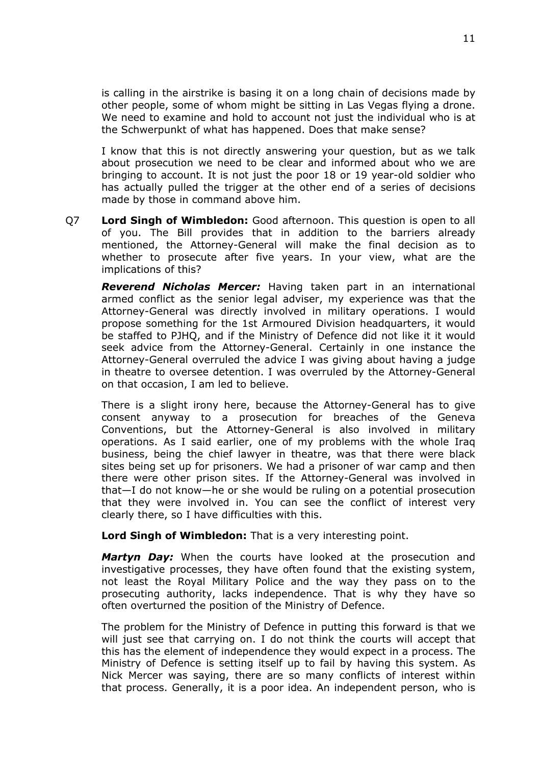is calling in the airstrike is basing it on a long chain of decisions made by other people, some of whom might be sitting in Las Vegas flying a drone. We need to examine and hold to account not just the individual who is at the Schwerpunkt of what has happened. Does that make sense?

I know that this is not directly answering your question, but as we talk about prosecution we need to be clear and informed about who we are bringing to account. It is not just the poor 18 or 19 year-old soldier who has actually pulled the trigger at the other end of a series of decisions made by those in command above him.

Q7 **Lord Singh of Wimbledon:** Good afternoon. This question is open to all of you. The Bill provides that in addition to the barriers already mentioned, the Attorney-General will make the final decision as to whether to prosecute after five years. In your view, what are the implications of this?

*Reverend Nicholas Mercer:* Having taken part in an international armed conflict as the senior legal adviser, my experience was that the Attorney-General was directly involved in military operations. I would propose something for the 1st Armoured Division headquarters, it would be staffed to PJHQ, and if the Ministry of Defence did not like it it would seek advice from the Attorney-General. Certainly in one instance the Attorney-General overruled the advice I was giving about having a judge in theatre to oversee detention. I was overruled by the Attorney-General on that occasion, I am led to believe.

There is a slight irony here, because the Attorney-General has to give consent anyway to a prosecution for breaches of the Geneva Conventions, but the Attorney-General is also involved in military operations. As I said earlier, one of my problems with the whole Iraq business, being the chief lawyer in theatre, was that there were black sites being set up for prisoners. We had a prisoner of war camp and then there were other prison sites. If the Attorney-General was involved in that—I do not know—he or she would be ruling on a potential prosecution that they were involved in. You can see the conflict of interest very clearly there, so I have difficulties with this.

**Lord Singh of Wimbledon:** That is a very interesting point.

*Martyn Day:* When the courts have looked at the prosecution and investigative processes, they have often found that the existing system, not least the Royal Military Police and the way they pass on to the prosecuting authority, lacks independence. That is why they have so often overturned the position of the Ministry of Defence.

The problem for the Ministry of Defence in putting this forward is that we will just see that carrying on. I do not think the courts will accept that this has the element of independence they would expect in a process. The Ministry of Defence is setting itself up to fail by having this system. As Nick Mercer was saying, there are so many conflicts of interest within that process. Generally, it is a poor idea. An independent person, who is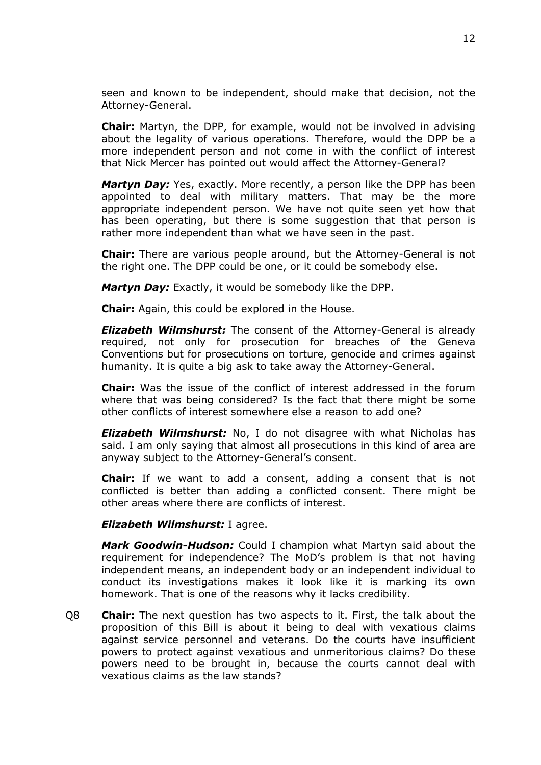seen and known to be independent, should make that decision, not the Attorney-General.

**Chair:** Martyn, the DPP, for example, would not be involved in advising about the legality of various operations. Therefore, would the DPP be a more independent person and not come in with the conflict of interest that Nick Mercer has pointed out would affect the Attorney-General?

*Martyn Day:* Yes, exactly. More recently, a person like the DPP has been appointed to deal with military matters. That may be the more appropriate independent person. We have not quite seen yet how that has been operating, but there is some suggestion that that person is rather more independent than what we have seen in the past.

**Chair:** There are various people around, but the Attorney-General is not the right one. The DPP could be one, or it could be somebody else.

*Martyn Day:* Exactly, it would be somebody like the DPP.

**Chair:** Again, this could be explored in the House.

*Elizabeth Wilmshurst:* The consent of the Attorney-General is already required, not only for prosecution for breaches of the Geneva Conventions but for prosecutions on torture, genocide and crimes against humanity. It is quite a big ask to take away the Attorney-General.

**Chair:** Was the issue of the conflict of interest addressed in the forum where that was being considered? Is the fact that there might be some other conflicts of interest somewhere else a reason to add one?

*Elizabeth Wilmshurst:* No, I do not disagree with what Nicholas has said. I am only saying that almost all prosecutions in this kind of area are anyway subject to the Attorney-General's consent.

**Chair:** If we want to add a consent, adding a consent that is not conflicted is better than adding a conflicted consent. There might be other areas where there are conflicts of interest.

### *Elizabeth Wilmshurst:* I agree.

*Mark Goodwin-Hudson:* Could I champion what Martyn said about the requirement for independence? The MoD's problem is that not having independent means, an independent body or an independent individual to conduct its investigations makes it look like it is marking its own homework. That is one of the reasons why it lacks credibility.

Q8 **Chair:** The next question has two aspects to it. First, the talk about the proposition of this Bill is about it being to deal with vexatious claims against service personnel and veterans. Do the courts have insufficient powers to protect against vexatious and unmeritorious claims? Do these powers need to be brought in, because the courts cannot deal with vexatious claims as the law stands?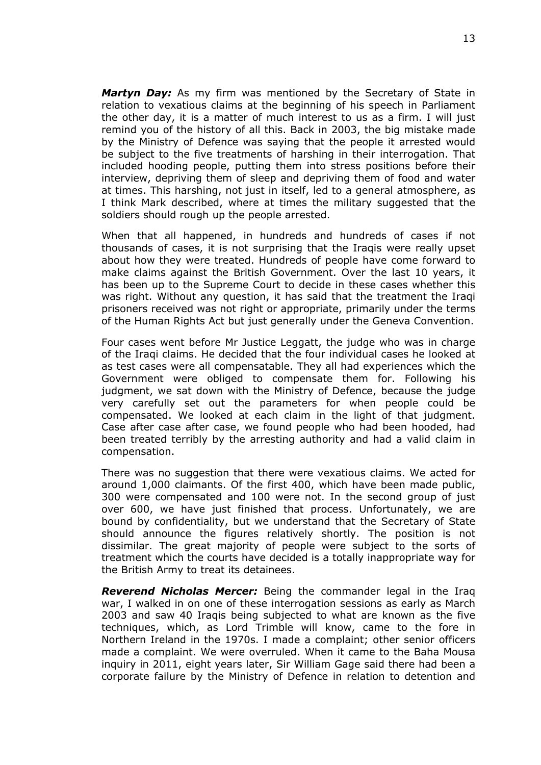*Martyn Day:* As my firm was mentioned by the Secretary of State in relation to vexatious claims at the beginning of his speech in Parliament the other day, it is a matter of much interest to us as a firm. I will just remind you of the history of all this. Back in 2003, the big mistake made by the Ministry of Defence was saying that the people it arrested would be subject to the five treatments of harshing in their interrogation. That included hooding people, putting them into stress positions before their interview, depriving them of sleep and depriving them of food and water at times. This harshing, not just in itself, led to a general atmosphere, as I think Mark described, where at times the military suggested that the soldiers should rough up the people arrested.

When that all happened, in hundreds and hundreds of cases if not thousands of cases, it is not surprising that the Iraqis were really upset about how they were treated. Hundreds of people have come forward to make claims against the British Government. Over the last 10 years, it has been up to the Supreme Court to decide in these cases whether this was right. Without any question, it has said that the treatment the Iraqi prisoners received was not right or appropriate, primarily under the terms of the Human Rights Act but just generally under the Geneva Convention.

Four cases went before Mr Justice Leggatt, the judge who was in charge of the Iraqi claims. He decided that the four individual cases he looked at as test cases were all compensatable. They all had experiences which the Government were obliged to compensate them for. Following his judgment, we sat down with the Ministry of Defence, because the judge very carefully set out the parameters for when people could be compensated. We looked at each claim in the light of that judgment. Case after case after case, we found people who had been hooded, had been treated terribly by the arresting authority and had a valid claim in compensation.

There was no suggestion that there were vexatious claims. We acted for around 1,000 claimants. Of the first 400, which have been made public, 300 were compensated and 100 were not. In the second group of just over 600, we have just finished that process. Unfortunately, we are bound by confidentiality, but we understand that the Secretary of State should announce the figures relatively shortly. The position is not dissimilar. The great majority of people were subject to the sorts of treatment which the courts have decided is a totally inappropriate way for the British Army to treat its detainees.

*Reverend Nicholas Mercer:* Being the commander legal in the Iraq war, I walked in on one of these interrogation sessions as early as March 2003 and saw 40 Iraqis being subjected to what are known as the five techniques, which, as Lord Trimble will know, came to the fore in Northern Ireland in the 1970s. I made a complaint; other senior officers made a complaint. We were overruled. When it came to the Baha Mousa inquiry in 2011, eight years later, Sir William Gage said there had been a corporate failure by the Ministry of Defence in relation to detention and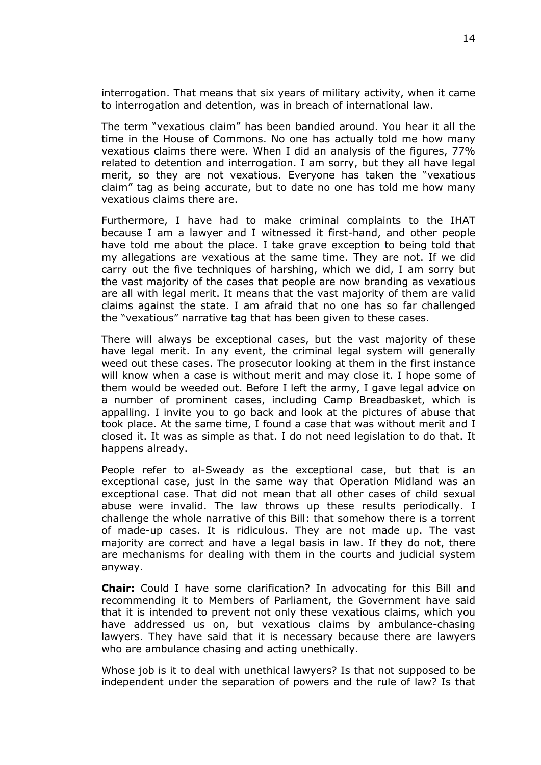interrogation. That means that six years of military activity, when it came to interrogation and detention, was in breach of international law.

The term "vexatious claim" has been bandied around. You hear it all the time in the House of Commons. No one has actually told me how many vexatious claims there were. When I did an analysis of the figures, 77% related to detention and interrogation. I am sorry, but they all have legal merit, so they are not vexatious. Everyone has taken the "vexatious claim" tag as being accurate, but to date no one has told me how many vexatious claims there are.

Furthermore, I have had to make criminal complaints to the IHAT because I am a lawyer and I witnessed it first-hand, and other people have told me about the place. I take grave exception to being told that my allegations are vexatious at the same time. They are not. If we did carry out the five techniques of harshing, which we did, I am sorry but the vast majority of the cases that people are now branding as vexatious are all with legal merit. It means that the vast majority of them are valid claims against the state. I am afraid that no one has so far challenged the "vexatious" narrative tag that has been given to these cases.

There will always be exceptional cases, but the vast majority of these have legal merit. In any event, the criminal legal system will generally weed out these cases. The prosecutor looking at them in the first instance will know when a case is without merit and may close it. I hope some of them would be weeded out. Before I left the army, I gave legal advice on a number of prominent cases, including Camp Breadbasket, which is appalling. I invite you to go back and look at the pictures of abuse that took place. At the same time, I found a case that was without merit and I closed it. It was as simple as that. I do not need legislation to do that. It happens already.

People refer to al-Sweady as the exceptional case, but that is an exceptional case, just in the same way that Operation Midland was an exceptional case. That did not mean that all other cases of child sexual abuse were invalid. The law throws up these results periodically. I challenge the whole narrative of this Bill: that somehow there is a torrent of made-up cases. It is ridiculous. They are not made up. The vast majority are correct and have a legal basis in law. If they do not, there are mechanisms for dealing with them in the courts and judicial system anyway.

**Chair:** Could I have some clarification? In advocating for this Bill and recommending it to Members of Parliament, the Government have said that it is intended to prevent not only these vexatious claims, which you have addressed us on, but vexatious claims by ambulance-chasing lawyers. They have said that it is necessary because there are lawyers who are ambulance chasing and acting unethically.

Whose job is it to deal with unethical lawyers? Is that not supposed to be independent under the separation of powers and the rule of law? Is that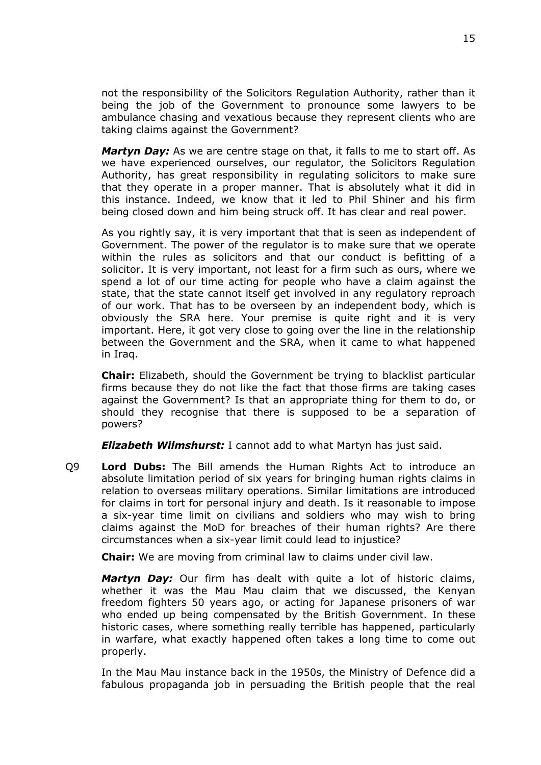not the responsibility of the Solicitors Regulation Authority, rather than it being the job of the Government to pronounce some lawyers to be ambulance chasing and vexatious because they represent clients who are taking claims against the Government?

*Martyn Day:* As we are centre stage on that, it falls to me to start off. As we have experienced ourselves, our regulator, the Solicitors Regulation Authority, has great responsibility in regulating solicitors to make sure that they operate in a proper manner. That is absolutely what it did in this instance. Indeed, we know that it led to Phil Shiner and his firm being closed down and him being struck off. It has clear and real power.

As you rightly say, it is very important that that is seen as independent of Government. The power of the regulator is to make sure that we operate within the rules as solicitors and that our conduct is befitting of a solicitor. It is very important, not least for a firm such as ours, where we spend a lot of our time acting for people who have a claim against the state, that the state cannot itself get involved in any regulatory reproach of our work. That has to be overseen by an independent body, which is obviously the SRA here. Your premise is quite right and it is very important. Here, it got very close to going over the line in the relationship between the Government and the SRA, when it came to what happened in Iraq.

**Chair:** Elizabeth, should the Government be trying to blacklist particular firms because they do not like the fact that those firms are taking cases against the Government? Is that an appropriate thing for them to do, or should they recognise that there is supposed to be a separation of powers?

*Elizabeth Wilmshurst:* I cannot add to what Martyn has just said.

Q9 **Lord Dubs:** The Bill amends the Human Rights Act to introduce an absolute limitation period of six years for bringing human rights claims in relation to overseas military operations. Similar limitations are introduced for claims in tort for personal injury and death. Is it reasonable to impose a six-year time limit on civilians and soldiers who may wish to bring claims against the MoD for breaches of their human rights? Are there circumstances when a six-year limit could lead to injustice?

**Chair:** We are moving from criminal law to claims under civil law.

*Martyn Day:* Our firm has dealt with quite a lot of historic claims, whether it was the Mau Mau claim that we discussed, the Kenyan freedom fighters 50 years ago, or acting for Japanese prisoners of war who ended up being compensated by the British Government. In these historic cases, where something really terrible has happened, particularly in warfare, what exactly happened often takes a long time to come out properly.

In the Mau Mau instance back in the 1950s, the Ministry of Defence did a fabulous propaganda job in persuading the British people that the real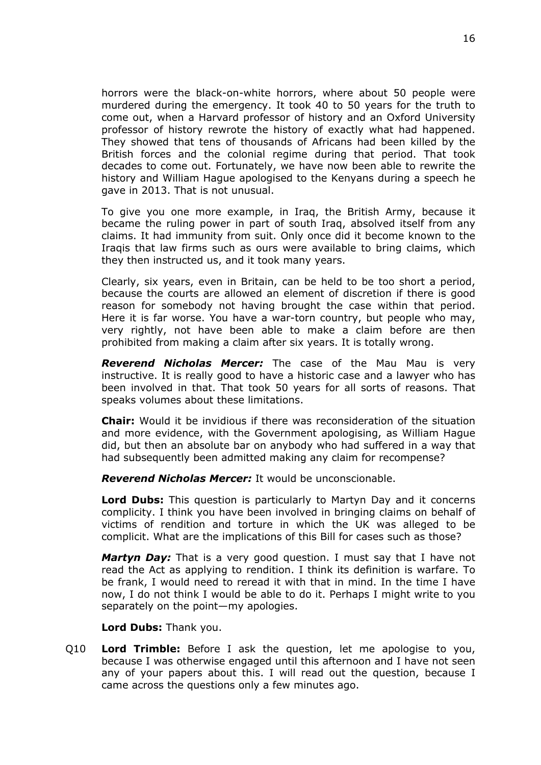horrors were the black-on-white horrors, where about 50 people were murdered during the emergency. It took 40 to 50 years for the truth to come out, when a Harvard professor of history and an Oxford University professor of history rewrote the history of exactly what had happened. They showed that tens of thousands of Africans had been killed by the British forces and the colonial regime during that period. That took decades to come out. Fortunately, we have now been able to rewrite the history and William Hague apologised to the Kenyans during a speech he gave in 2013. That is not unusual.

To give you one more example, in Iraq, the British Army, because it became the ruling power in part of south Iraq, absolved itself from any claims. It had immunity from suit. Only once did it become known to the Iraqis that law firms such as ours were available to bring claims, which they then instructed us, and it took many years.

Clearly, six years, even in Britain, can be held to be too short a period, because the courts are allowed an element of discretion if there is good reason for somebody not having brought the case within that period. Here it is far worse. You have a war-torn country, but people who may, very rightly, not have been able to make a claim before are then prohibited from making a claim after six years. It is totally wrong.

*Reverend Nicholas Mercer:* The case of the Mau Mau is very instructive. It is really good to have a historic case and a lawyer who has been involved in that. That took 50 years for all sorts of reasons. That speaks volumes about these limitations.

**Chair:** Would it be invidious if there was reconsideration of the situation and more evidence, with the Government apologising, as William Hague did, but then an absolute bar on anybody who had suffered in a way that had subsequently been admitted making any claim for recompense?

*Reverend Nicholas Mercer:* It would be unconscionable.

**Lord Dubs:** This question is particularly to Martyn Day and it concerns complicity. I think you have been involved in bringing claims on behalf of victims of rendition and torture in which the UK was alleged to be complicit. What are the implications of this Bill for cases such as those?

*Martyn Day:* That is a very good question. I must say that I have not read the Act as applying to rendition. I think its definition is warfare. To be frank, I would need to reread it with that in mind. In the time I have now, I do not think I would be able to do it. Perhaps I might write to you separately on the point—my apologies.

**Lord Dubs:** Thank you.

Q10 **Lord Trimble:** Before I ask the question, let me apologise to you, because I was otherwise engaged until this afternoon and I have not seen any of your papers about this. I will read out the question, because I came across the questions only a few minutes ago.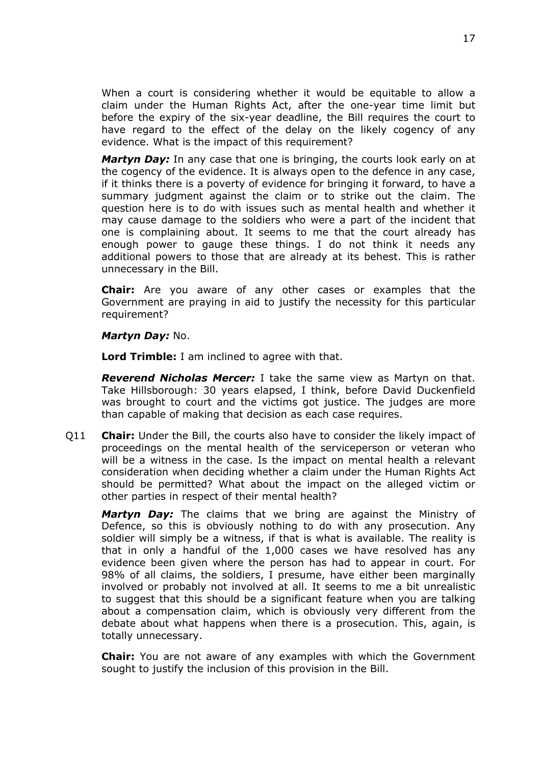When a court is considering whether it would be equitable to allow a claim under the Human Rights Act, after the one-year time limit but before the expiry of the six-year deadline, the Bill requires the court to have regard to the effect of the delay on the likely cogency of any evidence. What is the impact of this requirement?

*Martyn Day:* In any case that one is bringing, the courts look early on at the cogency of the evidence. It is always open to the defence in any case, if it thinks there is a poverty of evidence for bringing it forward, to have a summary judgment against the claim or to strike out the claim. The question here is to do with issues such as mental health and whether it may cause damage to the soldiers who were a part of the incident that one is complaining about. It seems to me that the court already has enough power to gauge these things. I do not think it needs any additional powers to those that are already at its behest. This is rather unnecessary in the Bill.

**Chair:** Are you aware of any other cases or examples that the Government are praying in aid to justify the necessity for this particular requirement?

*Martyn Day:* No.

**Lord Trimble:** I am inclined to agree with that.

*Reverend Nicholas Mercer:* I take the same view as Martyn on that. Take Hillsborough: 30 years elapsed, I think, before David Duckenfield was brought to court and the victims got justice. The judges are more than capable of making that decision as each case requires.

Q11 **Chair:** Under the Bill, the courts also have to consider the likely impact of proceedings on the mental health of the serviceperson or veteran who will be a witness in the case. Is the impact on mental health a relevant consideration when deciding whether a claim under the Human Rights Act should be permitted? What about the impact on the alleged victim or other parties in respect of their mental health?

*Martyn Day:* The claims that we bring are against the Ministry of Defence, so this is obviously nothing to do with any prosecution. Any soldier will simply be a witness, if that is what is available. The reality is that in only a handful of the 1,000 cases we have resolved has any evidence been given where the person has had to appear in court. For 98% of all claims, the soldiers, I presume, have either been marginally involved or probably not involved at all. It seems to me a bit unrealistic to suggest that this should be a significant feature when you are talking about a compensation claim, which is obviously very different from the debate about what happens when there is a prosecution. This, again, is totally unnecessary.

**Chair:** You are not aware of any examples with which the Government sought to justify the inclusion of this provision in the Bill.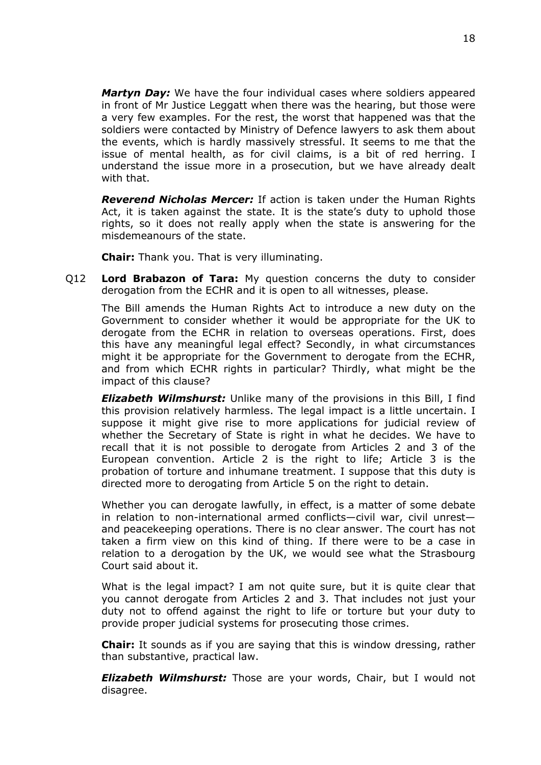*Martyn Day:* We have the four individual cases where soldiers appeared in front of Mr Justice Leggatt when there was the hearing, but those were a very few examples. For the rest, the worst that happened was that the soldiers were contacted by Ministry of Defence lawyers to ask them about the events, which is hardly massively stressful. It seems to me that the issue of mental health, as for civil claims, is a bit of red herring. I understand the issue more in a prosecution, but we have already dealt with that.

*Reverend Nicholas Mercer:* If action is taken under the Human Rights Act, it is taken against the state. It is the state's duty to uphold those rights, so it does not really apply when the state is answering for the misdemeanours of the state.

**Chair:** Thank you. That is very illuminating.

Q12 **Lord Brabazon of Tara:** My question concerns the duty to consider derogation from the ECHR and it is open to all witnesses, please.

The Bill amends the Human Rights Act to introduce a new duty on the Government to consider whether it would be appropriate for the UK to derogate from the ECHR in relation to overseas operations. First, does this have any meaningful legal effect? Secondly, in what circumstances might it be appropriate for the Government to derogate from the ECHR, and from which ECHR rights in particular? Thirdly, what might be the impact of this clause?

*Elizabeth Wilmshurst:* Unlike many of the provisions in this Bill, I find this provision relatively harmless. The legal impact is a little uncertain. I suppose it might give rise to more applications for judicial review of whether the Secretary of State is right in what he decides. We have to recall that it is not possible to derogate from Articles 2 and 3 of the European convention. Article 2 is the right to life; Article 3 is the probation of torture and inhumane treatment. I suppose that this duty is directed more to derogating from Article 5 on the right to detain.

Whether you can derogate lawfully, in effect, is a matter of some debate in relation to non-international armed conflicts—civil war, civil unrest and peacekeeping operations. There is no clear answer. The court has not taken a firm view on this kind of thing. If there were to be a case in relation to a derogation by the UK, we would see what the Strasbourg Court said about it.

What is the legal impact? I am not quite sure, but it is quite clear that you cannot derogate from Articles 2 and 3. That includes not just your duty not to offend against the right to life or torture but your duty to provide proper judicial systems for prosecuting those crimes.

**Chair:** It sounds as if you are saying that this is window dressing, rather than substantive, practical law.

*Elizabeth Wilmshurst:* Those are your words, Chair, but I would not disagree.